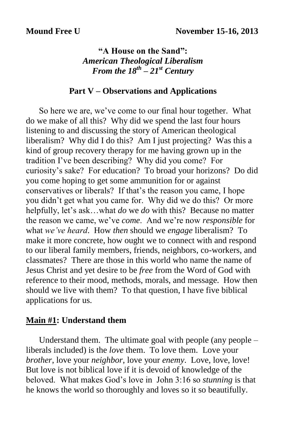## **"A House on the Sand":** *American Theological Liberalism From the 18th – 21st Century*

#### **Part V – Observations and Applications**

 So here we are, we've come to our final hour together. What do we make of all this? Why did we spend the last four hours listening to and discussing the story of American theological liberalism? Why did I do this? Am I just projecting? Was this a kind of group recovery therapy for me having grown up in the tradition I've been describing? Why did you come? For curiosity's sake? For education? To broad your horizons? Do did you come hoping to get some ammunition for or against conservatives or liberals? If that's the reason you came, I hope you didn't get what you came for. Why did we do this? Or more helpfully, let's ask…what *do* we *do* with this? Because no matter the reason we came, we've *come*. And we're now *responsible* for what *we've heard*. How *then* should we *engage* liberalism? To make it more concrete, how ought we to connect with and respond to our liberal family members, friends, neighbors, co-workers, and classmates? There are those in this world who name the name of Jesus Christ and yet desire to be *free* from the Word of God with reference to their mood, methods, morals, and message. How then should we live with them? To that question, I have five biblical applications for us.

#### **Main #1: Understand them**

Understand them. The ultimate goal with people (any people – liberals included) is the *love* them. To love them. Love your *brother*, love your *neighbor*, love your *enemy*. Love, love, love! But love is not biblical love if it is devoid of knowledge of the beloved. What makes God's love in John 3:16 so *stunning* is that he knows the world so thoroughly and loves so it so beautifully.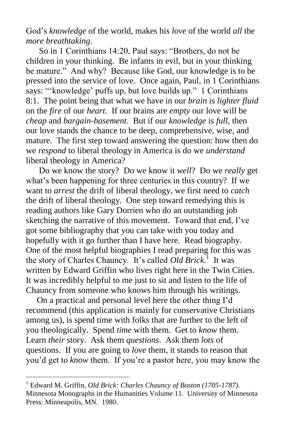God's *knowledge* of the world, makes his *love* of the world *all* the *more breathtaking*.

 So in 1 Corinthians 14:20, Paul says: "Brothers, do not be children in your thinking. Be infants in evil, but in your thinking be mature." And why? Because like God, our knowledge is to be pressed into the service of love. Once again, Paul, in 1 Corinthians says: "'knowledge' puffs up, but love builds up." 1 Corinthians 8:1. The point being that what we have in our *brain* is *lighter fluid* on the *fire* of our *heart.* If our brains are *empty* our love will be *cheap* and *bargain-basement*. But if our *knowledge* is *full*, then our love stands the chance to be deep, comprehensive, wise, and mature. The first step toward answering the question: how then do we *respond* to liberal theology in America is do we *understand* liberal theology in America?

 Do we know the story? Do we know it *well*? Do we *really* get what's been happening for three centuries in this country? If we want to *arrest* the drift of liberal theology, we first need to *catch* the drift of liberal theology. One step toward remedying this is reading authors like Gary Dorrien who do an outstanding job sketching the narrative of this movement. Toward that end, I've got some bibliography that you can take with you today and hopefully with it go further than I have here. Read biography. One of the most helpful biographies I read preparing for this was the story of Charles Chauncy. It's called *Old Brick*.<sup>1</sup> It was written by Edward Griffin who lives right here in the Twin Cities. It was incredibly helpful to me just to sit and listen to the life of Chauncy from someone who knows him through his writings.

 On a practical and personal level here the other thing I'd recommend (this application is mainly for conservative Christians among us), is spend time with folks that are further to the left of you theologically. Spend *time* with them. Get to *know* them. Learn *their* story. Ask them *questions*. Ask them *lots* of questions. If you are going to *love* them, it stands to reason that you'd get to *know* them. If you're a pastor here, you may know the

<sup>1</sup> Edward M. Griffin, *Old Brick: Charles Chauncy of Boston (1705-1787)*. Minnesota Monographs in the Humanities Volume 11. University of Minnesota Press: Minneapolis, MN. 1980.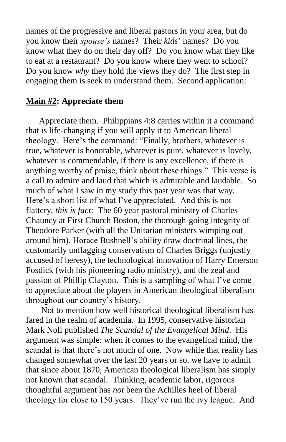names of the progressive and liberal pastors in your area, but do you know their *spouse's* names? Their *kids*' names? Do you know what they do on their day off? Do you know what they like to eat at a restaurant? Do you know where they went to school? Do you know *why* they hold the views they do? The first step in engaging them is seek to understand them. Second application:

## **Main #2: Appreciate them**

 Appreciate them. Philippians 4:8 carries within it a command that is life-changing if you will apply it to American liberal theology. Here's the command: "Finally, brothers, whatever is true, whatever is honorable, whatever is pure, whatever is lovely, whatever is commendable, if there is any excellence, if there is anything worthy of praise, think about these things." This verse is a call to admire and laud that which is admirable and laudable. So much of what I saw in my study this past year was that way. Here's a short list of what I've appreciated. And this is not flattery, *this is fact*: The 60 year pastoral ministry of Charles Chauncy at First Church Boston, the thorough-going integrity of Theodore Parker (with all the Unitarian ministers wimping out around him), Horace Bushnell's ability draw doctrinal lines, the customarily unflagging conservatism of Charles Briggs (unjustly accused of heresy), the technological innovation of Harry Emerson Fosdick (with his pioneering radio ministry), and the zeal and passion of Phillip Clayton. This is a sampling of what I've come to appreciate about the players in American theological liberalism throughout our country's history.

 Not to mention how well historical theological liberalism has fared in the realm of academia. In 1995, conservative historian Mark Noll published *The Scandal of the Evangelical Mind*. His argument was simple: when it comes to the evangelical mind, the scandal is that there's not much of one. Now while that reality has changed somewhat over the last 20 years or so, we have to admit that since about 1870, American theological liberalism has simply not known that scandal. Thinking, academic labor, rigorous thoughtful argument has *not* been the Achilles heel of liberal theology for close to 150 years. They've run the ivy league. And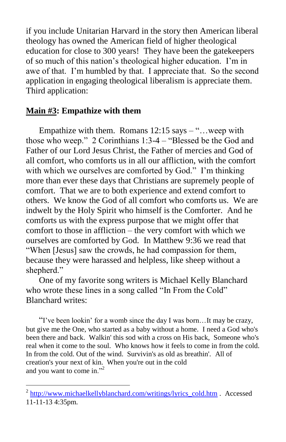if you include Unitarian Harvard in the story then American liberal theology has owned the American field of higher theological education for close to 300 years! They have been the gatekeepers of so much of this nation's theological higher education. I'm in awe of that. I'm humbled by that. I appreciate that. So the second application in engaging theological liberalism is appreciate them. Third application:

# **Main #3: Empathize with them**

 $\overline{a}$ 

Empathize with them. Romans  $12:15$  says  $-$  "... weep with those who weep." 2 Corinthians 1:3-4 – "Blessed be the God and Father of our Lord Jesus Christ, the Father of mercies and God of all comfort, who comforts us in all our affliction, with the comfort with which we ourselves are comforted by God." I'm thinking more than ever these days that Christians are supremely people of comfort. That we are to both experience and extend comfort to others. We know the God of all comfort who comforts us. We are indwelt by the Holy Spirit who himself is the Comforter. And he comforts us with the express purpose that we might offer that comfort to those in affliction – the very comfort with which we ourselves are comforted by God. In Matthew 9:36 we read that "When [Jesus] saw the crowds, he had compassion for them, because they were harassed and helpless, like sheep without a shepherd."

 One of my favorite song writers is Michael Kelly Blanchard who wrote these lines in a song called "In From the Cold" Blanchard writes:

 "I've been lookin' for a womb since the day I was born…It may be crazy, but give me the One, who started as a baby without a home. I need a God who's been there and back. Walkin' this sod with a cross on His back, Someone who's real when it come to the soul. Who knows how it feels to come in from the cold. In from the cold. Out of the wind. Survivin's as old as breathin'. All of creation's your next of kin. When you're out in the cold and you want to come in."<sup>2</sup>

<sup>&</sup>lt;sup>2</sup> [http://www.michaelkellyblanchard.com/writings/lyrics\\_cold.htm](http://www.michaelkellyblanchard.com/writings/lyrics_cold.htm) . Accessed 11-11-13 4:35pm.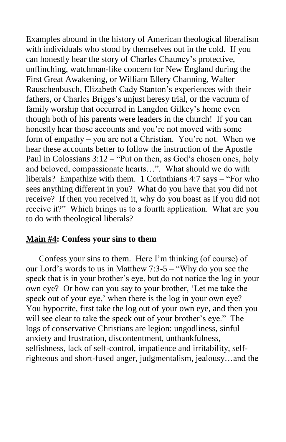Examples abound in the history of American theological liberalism with individuals who stood by themselves out in the cold. If you can honestly hear the story of Charles Chauncy's protective, unflinching, watchman-like concern for New England during the First Great Awakening, or William Ellery Channing, Walter Rauschenbusch, Elizabeth Cady Stanton's experiences with their fathers, or Charles Briggs's unjust heresy trial, or the vacuum of family worship that occurred in Langdon Gilkey's home even though both of his parents were leaders in the church! If you can honestly hear those accounts and you're not moved with some form of empathy – you are not a Christian. You're not. When we hear these accounts better to follow the instruction of the Apostle Paul in Colossians 3:12 – "Put on then, as God's chosen ones, holy and beloved, compassionate hearts…". What should we do with liberals? Empathize with them. 1 Corinthians 4:7 says – "For who sees anything different in you? What do you have that you did not receive? If then you received it, why do you boast as if you did not receive it?" Which brings us to a fourth application. What are you to do with theological liberals?

## **Main #4: Confess your sins to them**

 Confess your sins to them. Here I'm thinking (of course) of our Lord's words to us in Matthew 7:3-5 – "Why do you see the speck that is in your brother's eye, but do not notice the log in your own eye? Or how can you say to your brother, 'Let me take the speck out of your eye,' when there is the log in your own eye? You hypocrite, first take the log out of your own eye, and then you will see clear to take the speck out of your brother's eye." The logs of conservative Christians are legion: ungodliness, sinful anxiety and frustration, discontentment, unthankfulness, selfishness, lack of self-control, impatience and irritability, selfrighteous and short-fused anger, judgmentalism, jealousy…and the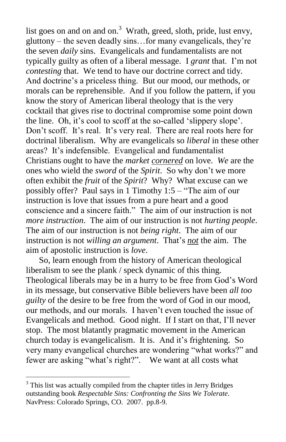list goes on and on and on.<sup>3</sup> Wrath, greed, sloth, pride, lust envy, gluttony – the seven deadly sins…for many evangelicals, they're the seven *daily* sins. Evangelicals and fundamentalists are not typically guilty as often of a liberal message. I *grant* that. I'm not *contesting* that. We tend to have our doctrine correct and tidy. And doctrine's a priceless thing. But our mood, our methods, or morals can be reprehensible. And if you follow the pattern, if you know the story of American liberal theology that is the very cocktail that gives rise to doctrinal compromise some point down the line. Oh, it's cool to scoff at the so-called 'slippery slope'. Don't scoff. It's real. It's very real. There are real roots here for doctrinal liberalism. Why are evangelicals so *liberal* in these other areas? It's indefensible. Evangelical and fundamentalist Christians ought to have the *market cornered* on love. *We* are the ones who wield the *sword* of the *Spirit*. So why don't we more often exhibit the *fruit* of the *Spirit*? Why? What excuse can we possibly offer? Paul says in 1 Timothy 1:5 – "The aim of our instruction is love that issues from a pure heart and a good conscience and a sincere faith." The aim of our instruction is not *more instruction*. The aim of our instruction is not *hurting people*. The aim of our instruction is not *being right*. The aim of our instruction is not *willing an argument*. That's *not* the aim. The aim of apostolic instruction is *love*.

 So, learn enough from the history of American theological liberalism to see the plank / speck dynamic of this thing. Theological liberals may be in a hurry to be free from God's Word in its message, but conservative Bible believers have been *all too guilty* of the desire to be free from the word of God in our mood, our methods, and our morals. I haven't even touched the issue of Evangelicals and method. Good night. If I start on that, I'll never stop. The most blatantly pragmatic movement in the American church today is evangelicalism. It is. And it's frightening. So very many evangelical churches are wondering "what works?" and fewer are asking "what's right?". We want at all costs what

 $3$  This list was actually compiled from the chapter titles in Jerry Bridges outstanding book *Respectable Sins: Confronting the Sins We Tolerate*. NavPress: Colorado Springs, CO. 2007. pp.8-9.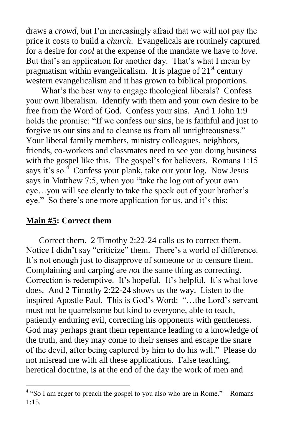draws a *crowd*, but I'm increasingly afraid that we will not pay the price it costs to build a *church*. Evangelicals are routinely captured for a desire for *cool* at the expense of the mandate we have to *love*. But that's an application for another day. That's what I mean by pragmatism within evangelicalism. It is plague of  $21<sup>st</sup>$  century western evangelicalism and it has grown to biblical proportions.

 What's the best way to engage theological liberals? Confess your own liberalism. Identify with them and your own desire to be free from the Word of God. Confess your sins. And 1 John 1:9 holds the promise: "If we confess our sins, he is faithful and just to forgive us our sins and to cleanse us from all unrighteousness." Your liberal family members, ministry colleagues, neighbors, friends, co-workers and classmates need to see you doing business with the gospel like this. The gospel's for believers. Romans 1:15 says it's so.<sup>4</sup> Confess your plank, take our your log. Now Jesus says in Matthew 7:5, when you "take the log out of your own eye…you will see clearly to take the speck out of your brother's eye." So there's one more application for us, and it's this:

## **Main #5: Correct them**

 $\overline{a}$ 

 Correct them. 2 Timothy 2:22-24 calls us to correct them. Notice I didn't say "criticize" them. There's a world of difference. It's not enough just to disapprove of someone or to censure them. Complaining and carping are *not* the same thing as correcting. Correction is redemptive. It's hopeful. It's helpful. It's what love does. And 2 Timothy 2:22-24 shows us the way. Listen to the inspired Apostle Paul. This is God's Word: "…the Lord's servant must not be quarrelsome but kind to everyone, able to teach, patiently enduring evil, correcting his opponents with gentleness. God may perhaps grant them repentance leading to a knowledge of the truth, and they may come to their senses and escape the snare of the devil, after being captured by him to do his will." Please do not misread me with all these applications. False teaching, heretical doctrine, is at the end of the day the work of men and

<sup>&</sup>lt;sup>4</sup> "So I am eager to preach the gospel to you also who are in Rome." – Romans 1:15.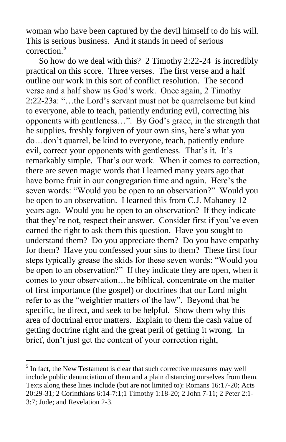woman who have been captured by the devil himself to do his will. This is serious business. And it stands in need of serious correction.<sup>5</sup>

 So how do we deal with this? 2 Timothy 2:22-24 is incredibly practical on this score. Three verses. The first verse and a half outline our work in this sort of conflict resolution. The second verse and a half show us God's work. Once again, 2 Timothy 2:22-23a: "…the Lord's servant must not be quarrelsome but kind to everyone, able to teach, patiently enduring evil, correcting his opponents with gentleness…". By God's grace, in the strength that he supplies, freshly forgiven of your own sins, here's what you do…don't quarrel, be kind to everyone, teach, patiently endure evil, correct your opponents with gentleness. That's it. It's remarkably simple. That's our work. When it comes to correction, there are seven magic words that I learned many years ago that have borne fruit in our congregation time and again. Here's the seven words: "Would you be open to an observation?" Would you be open to an observation. I learned this from C.J. Mahaney 12 years ago. Would you be open to an observation? If they indicate that they're not, respect their answer. Consider first if you've even earned the right to ask them this question. Have you sought to understand them? Do you appreciate them? Do you have empathy for them? Have you confessed your sins to them? These first four steps typically grease the skids for these seven words: "Would you be open to an observation?" If they indicate they are open, when it comes to your observation…be biblical, concentrate on the matter of first importance (the gospel) or doctrines that our Lord might refer to as the "weightier matters of the law". Beyond that be specific, be direct, and seek to be helpful. Show them why this area of doctrinal error matters. Explain to them the cash value of getting doctrine right and the great peril of getting it wrong. In brief, don't just get the content of your correction right,

 5 In fact, the New Testament is clear that such corrective measures may well include public denunciation of them and a plain distancing ourselves from them. Texts along these lines include (but are not limited to): Romans 16:17-20; Acts 20:29-31; 2 Corinthians 6:14-7:1;1 Timothy 1:18-20; 2 John 7-11; 2 Peter 2:1- 3:7; Jude; and Revelation 2-3.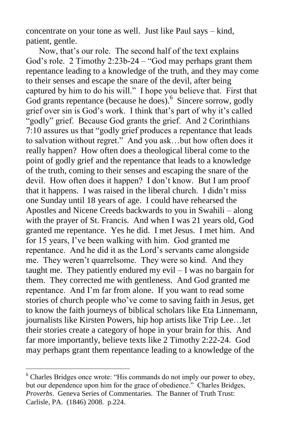concentrate on your tone as well. Just like Paul says – kind, patient, gentle.

 Now, that's our role. The second half of the text explains God's role. 2 Timothy 2:23b-24 – "God may perhaps grant them repentance leading to a knowledge of the truth, and they may come to their senses and escape the snare of the devil, after being captured by him to do his will." I hope you believe that. First that God grants repentance (because he does).<sup>6</sup> Sincere sorrow, godly grief over sin is God's work. I think that's part of why it's called "godly" grief. Because God grants the grief. And 2 Corinthians 7:10 assures us that "godly grief produces a repentance that leads to salvation without regret." And you ask…but how often does it really happen? How often does a theological liberal come to the point of godly grief and the repentance that leads to a knowledge of the truth, coming to their senses and escaping the snare of the devil. How often does it happen? I don't know. But I am proof that it happens. I was raised in the liberal church. I didn't miss one Sunday until 18 years of age. I could have rehearsed the Apostles and Nicene Creeds backwards to you in Swahili – along with the prayer of St. Francis. And when I was 21 years old, God granted me repentance. Yes he did. I met Jesus. I met him. And for 15 years, I've been walking with him. God granted me repentance. And he did it as the Lord's servants came alongside me. They weren't quarrelsome. They were so kind. And they taught me. They patiently endured my evil – I was no bargain for them. They corrected me with gentleness. And God granted me repentance. And I'm far from alone. If you want to read some stories of church people who've come to saving faith in Jesus, get to know the faith journeys of biblical scholars like Eta Linnemann, journalists like Kirsten Powers, hip hop artists like Trip Lee…let their stories create a category of hope in your brain for this. And far more importantly, believe texts like 2 Timothy 2:22-24. God may perhaps grant them repentance leading to a knowledge of the

<sup>&</sup>lt;sup>6</sup> Charles Bridges once wrote: "His commands do not imply our power to obey, but our dependence upon him for the grace of obedience." Charles Bridges, *Proverbs*. Geneva Series of Commentaries. The Banner of Truth Trust: Carlisle, PA. (1846) 2008. p.224.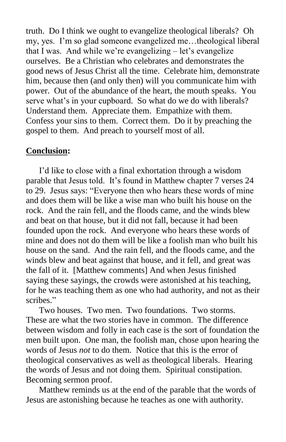truth. Do I think we ought to evangelize theological liberals? Oh my, yes. I'm so glad someone evangelized me…theological liberal that I was. And while we're evangelizing – let's evangelize ourselves. Be a Christian who celebrates and demonstrates the good news of Jesus Christ all the time. Celebrate him, demonstrate him, because then (and only then) will you communicate him with power. Out of the abundance of the heart, the mouth speaks. You serve what's in your cupboard. So what do we do with liberals? Understand them. Appreciate them. Empathize with them. Confess your sins to them. Correct them. Do it by preaching the gospel to them. And preach to yourself most of all.

# **Conclusion:**

 I'd like to close with a final exhortation through a wisdom parable that Jesus told. It's found in Matthew chapter 7 verses 24 to 29. Jesus says: "Everyone then who hears these words of mine and does them will be like a wise man who built his house on the rock. And the rain fell, and the floods came, and the winds blew and beat on that house, but it did not fall, because it had been founded upon the rock. And everyone who hears these words of mine and does not do them will be like a foolish man who built his house on the sand. And the rain fell, and the floods came, and the winds blew and beat against that house, and it fell, and great was the fall of it. [Matthew comments] And when Jesus finished saying these sayings, the crowds were astonished at his teaching, for he was teaching them as one who had authority, and not as their scribes."

 Two houses. Two men. Two foundations. Two storms. These are what the two stories have in common. The difference between wisdom and folly in each case is the sort of foundation the men built upon. One man, the foolish man, chose upon hearing the words of Jesus *not* to do them. Notice that this is the error of theological conservatives as well as theological liberals. Hearing the words of Jesus and not doing them. Spiritual constipation. Becoming sermon proof.

 Matthew reminds us at the end of the parable that the words of Jesus are astonishing because he teaches as one with authority.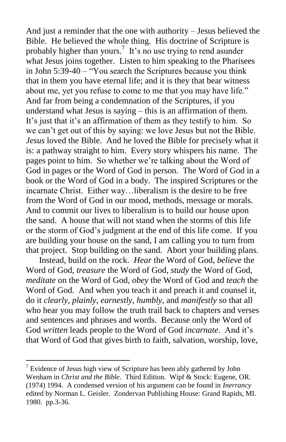And just a reminder that the one with authority – Jesus believed the Bible. He believed the whole thing. His doctrine of Scripture is probably higher than yours.<sup>7</sup> It's no use trying to rend as under what Jesus joins together. Listen to him speaking to the Pharisees in John 5:39-40 – "You search the Scriptures because you think that in them you have eternal life; and it is they that bear witness about me, yet you refuse to come to me that you may have life." And far from being a condemnation of the Scriptures, if you understand what Jesus is saying – this is an affirmation of them. It's just that it's an affirmation of them as they testify to him. So we can't get out of this by saying: we love Jesus but not the Bible. *Jesus* loved the Bible. And he loved the Bible for precisely what it is: a pathway straight to him. Every story whispers his name. The pages point to him. So whether we're talking about the Word of God in pages or the Word of God in person. The Word of God in a book or the Word of God in a body. The inspired Scriptures or the incarnate Christ. Either way…liberalism is the desire to be free from the Word of God in our mood, methods, message or morals. And to commit our lives to liberalism is to build our house upon the sand. A house that will not stand when the storms of this life or the storm of God's judgment at the end of this life come. If you are building your house on the sand, I am calling you to turn from that project. Stop building on the sand. Abort your building plans.

 Instead, build on the rock. *Hear* the Word of God, *believe* the Word of God, *treasure* the Word of God, *study* the Word of God, *meditate* on the Word of God, *obey* the Word of God and *teach* the Word of God. And when you teach it and preach it and counsel it, do it *clearly*, *plainly*, *earnestly*, *humbly*, and *manifestly* so that all who hear you may follow the truth trail back to chapters and verses and sentences and phrases and words. Because only the Word of God *written* leads people to the Word of God *incarnate*. And it's that Word of God that gives birth to faith, salvation, worship, love,

 $7$  Evidence of Jesus high view of Scripture has been ably gathered by John Wenham in *Christ and the Bible*. Third Edition. Wipf & Stock: Eugene, OR. (1974) 1994. A condensed version of his argument can be found in *Inerrancy* edited by Norman L. Geisler. Zondervan Publishing House: Grand Rapids, MI. 1980. pp.3-36.